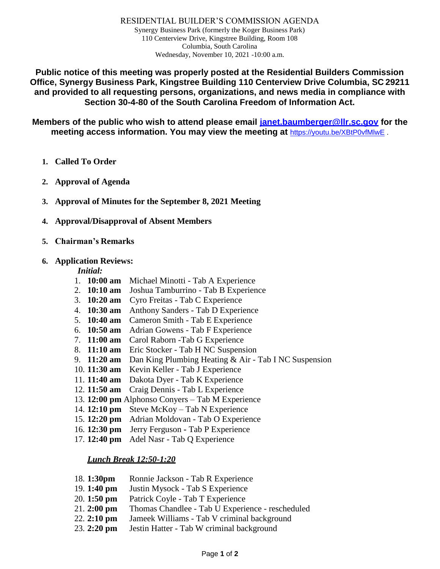RESIDENTIAL BUILDER'S COMMISSION AGENDA Synergy Business Park (formerly the Koger Business Park) 110 Centerview Drive, Kingstree Building, Room 108 Columbia, South Carolina Wednesday, November 10, 2021 -10:00 a.m.

**Public notice of this meeting was properly posted at the Residential Builders Commission Office, Synergy Business Park, Kingstree Building 110 Centerview Drive Columbia, SC 29211 and provided to all requesting persons, organizations, and news media in compliance with Section 30-4-80 of the South Carolina Freedom of Information Act.**

**Members of the public who wish to attend please email [janet.baumberger@llr.sc.gov](mailto:janet.baumberger@llr.sc.gov) for the meeting access information. You may view the meeting at** <https://youtu.be/XBtP0vfMlwE> .

- **1. Called To Order**
- **2. Approval of Agenda**
- **3. Approval of Minutes for the September 8, 2021 Meeting**
- **4. Approval/Disapproval of Absent Members**
- **5. Chairman's Remarks**

#### **6. Application Reviews:**

#### *Initial:*

- 1. **10:00 am** Michael Minotti Tab A Experience
- 2. **10:10 am** Joshua Tamburrino Tab B Experience
- 3. **10:20 am** Cyro Freitas Tab C Experience
- 4. **10:30 am** Anthony Sanders Tab D Experience
- 5. **10:40 am** Cameron Smith Tab E Experience
- 6. **10:50 am** Adrian Gowens Tab F Experience
- 7. **11:00 am** Carol Raborn -Tab G Experience
- 8. **11:10 am** Eric Stocker Tab H NC Suspension
- 9. **11:20 am** Dan King Plumbing Heating & Air Tab I NC Suspension
- 10. **11:30 am** Kevin Keller Tab J Experience
- 11. **11:40 am** Dakota Dyer Tab K Experience
- 12. **11:50 am** Craig Dennis Tab L Experience
- 13. **12:00 pm** Alphonso Conyers Tab M Experience
- 14. **12:10 pm** Steve McKoy Tab N Experience
- 15. **12:20 pm** Adrian Moldovan Tab O Experience
- 16. **12:30 pm** Jerry Ferguson **-** Tab P Experience
- 17. **12:40 pm** Adel Nasr Tab Q Experience

#### *Lunch Break 12:50-1:20*

- 18. **1:30pm** Ronnie Jackson Tab R Experience
- 19. **1:40 pm** Justin Mysock Tab S Experience
- 20. **1:50 pm** Patrick Coyle Tab T Experience
- 21. **2:00 pm** Thomas Chandlee Tab U Experience rescheduled
- 22. **2:10 pm** Jameek Williams Tab V criminal background
- 23. **2:20 pm** Jestin Hatter Tab W criminal background